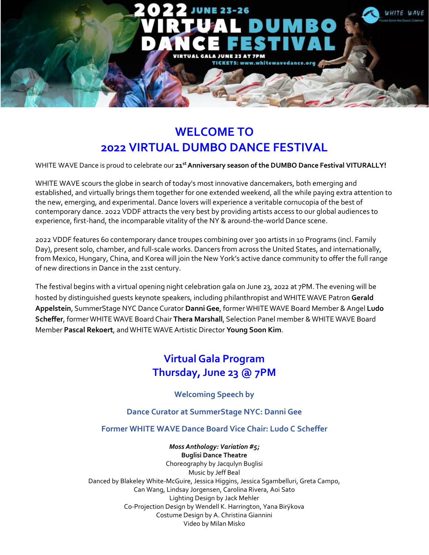

# **WELCOME TO 2022 VIRTUAL DUMBO DANCE FESTIVAL**

WHITE WAVE Dance is proud to celebrate our **21 stAnniversary season of the DUMBO Dance Festival VITURALLY!**

WHITE WAVE scours the globe in search of today's most innovative dancemakers, both emerging and established, and virtually brings them together for one extended weekend, all the while paying extra attention to the new, emerging, and experimental. Dance lovers will experience a veritable cornucopia of the best of contemporary dance. 2022 VDDF attracts the very best by providing artists access to our global audiences to experience, first-hand, the incomparable vitality of the NY & around-the-world Dance scene.

2022 VDDF features 60 contemporary dance troupes combining over 300 artists in 10 Programs (incl. Family Day), present solo, chamber, and full-scale works. Dancers from across the United States, and internationally, from Mexico, Hungary, China, and Korea will join the New York's active dance community to offer the full range of new directions in Dance in the 21st century.

The festival begins with a virtual opening night celebration gala on June 23, 2022 at 7PM.The evening will be hosted by distinguished guests keynote speakers, including philanthropist andWHITEWAVE Patron **Gerald Appelstein**, SummerStage NYC Dance Curator **DanniGee**, formerWHITEWAVE Board Member &Angel **Ludo Scheffer**, formerWHITEWAVE Board Chair **Thera Marshall**, Selection Panel member &WHITE WAVE Board Member **Pascal Rekoert**, andWHITE WAVEArtistic Director **Young Soon Kim**.

## **Virtual Gala Program Thursday, June 23 @ 7PM**

**Welcoming Speech by**

**Dance Curator at SummerStage NYC: Danni Gee**

**Former WHITE WAVE Dance Board Vice Chair: Ludo C Scheffer**

*Moss Anthology: Variation #5;* **Buglisi Dance Theatre** Choreography by Jacqulyn Buglisi Music by Jeff Beal Danced by Blakeley White-McGuire, Jessica Higgins, Jessica Sgambelluri, Greta Campo, Can Wang, Lindsay Jorgensen, Carolina Rivera, Aoi Sato Lighting Design by Jack Mehler Co-Projection Design by Wendell K. Harrington, Yana Birÿkova Costume Design by A. Christina Giannini Video by Milan Misko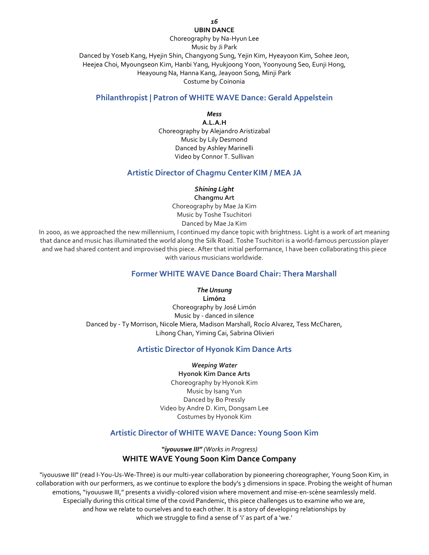#### *16* **UBIN DANCE**

## Choreography by Na-Hyun Lee

Music by Ji Park

Danced by Yoseb Kang, Hyejin Shin, Changyong Sung, Yejin Kim, Hyeayoon Kim, Sohee Jeon, Heejea Choi, Myoungseon Kim, Hanbi Yang, Hyukjoong Yoon, Yoonyoung Seo, Eunji Hong, Heayoung Na, Hanna Kang, Jeayoon Song, Minji Park Costume by Coinonia

## **Philanthropist | Patron of WHITE WAVE Dance: Gerald Appelstein**

*Mess*

**A.L.A.H** Choreography by Alejandro Aristizabal Music by Lily Desmond Danced by Ashley Marinelli Video by Connor T. Sullivan

## **Artistic Director of Chagmu CenterKIM / MEA JA**

*Shining Light*

**Changmu Art** Choreography by Mae Ja Kim Music by Toshe Tsuchitori Danced by Mae Ja Kim

In 2000, as we approached the new millennium, I continued my dance topic with brightness. Light is a work of art meaning that dance and music has illuminated the world along the Silk Road. Toshe Tsuchitori is a world-famous percussion player and we had shared content and improvised this piece. After that initial performance, I have been collaborating this piece with various musicians worldwide.

## **Former WHITE WAVE Dance Board Chair: Thera Marshall**

### *The Unsung*

**Limón2** Choreography by José Limón Music by - danced in silence Danced by - Ty Morrison, Nicole Miera, Madison Marshall, Rocío Alvarez, Tess McCharen, Lihong Chan, Yiming Cai, Sabrina Olivieri

## **Artistic Director of Hyonok Kim Dance Arts**

*Weeping Water* **Hyonok Kim Dance Arts** Choreography by Hyonok Kim Music by Isang Yun Danced by Bo Pressly Video by Andre D. Kim, Dongsam Lee Costumes by Hyonok Kim

## **Artistic Director of WHITE WAVE Dance: Young Soon Kim**

## *"iyouuswe III" (Works in Progress)* **WHITE WAVE Young Soon Kim Dance Company**

"iyouuswe III" (read I-You-Us-We-Three) is our multi-year collaboration by pioneering choreographer, Young Soon Kim, in collaboration with our performers, as we continue to explore the body's 3 dimensions in space. Probing the weight of human emotions, "iyouuswe III," presents a vividly-colored vision where movement and mise-en-scène seamlessly meld. Especially during this critical time of the covid Pandemic, this piece challenges us to examine who we are, and how we relate to ourselves and to each other. It is a story of developing relationships by which we struggle to find a sense of 'i' as part of a 'we.'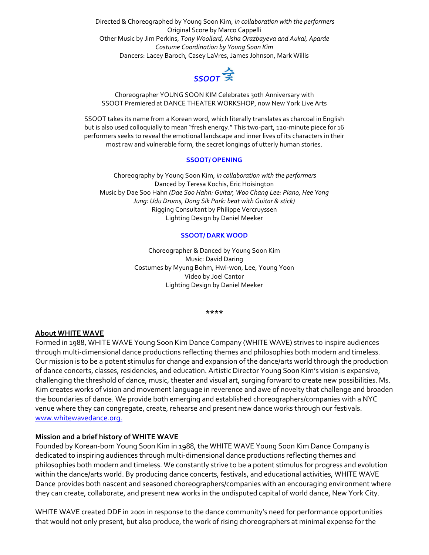Directed & Choreographed by Young Soon Kim, *in collaboration with the performers* Original Score by Marco Cappelli Other Music by Jim Perkins, *Tony Woollard, Aisha Orazbayeva and Aukai, Aparde Costume Coordination by Young Soon Kim* Dancers: Lacey Baroch, Casey LaVres, James Johnson, Mark Willis



Choreographer YOUNG SOON KIM Celebrates 30th Anniversary with SSOOT Premiered at DANCE THEATER WORKSHOP, now New York Live Arts

SSOOT takes its name from a Korean word, which literally translates as charcoal in English but is also used colloquially to mean "fresh energy." This two-part, 120-minute piece for 16 performers seeks to reveal the emotional landscape and inner lives of its characters in their most raw and vulnerable form, the secret longings of utterly human stories.

### **SSOOT/ OPENING**

Choreography by Young Soon Kim, *in collaboration with the performers* Danced by Teresa Kochis, Eric Hoisington Music by Dae Soo Hahn *(Dae Soo Hahn: Guitar, Woo Chang Lee: Piano, Hee Yong Jung: Udu Drums, Dong Sik Park: beat with Guitar & stick)* Rigging Consultant by Philippe Vercruyssen Lighting Design by Daniel Meeker

#### **SSOOT/ DARK WOOD**

Choreographer & Danced by Young Soon Kim Music: David Daring Costumes by Myung Bohm, Hwi-won, Lee, Young Yoon Video by Joel Cantor Lighting Design by Daniel Meeker

#### **\*\*\*\***

#### **About WHITE WAVE**

Formed in 1988, WHITE WAVE Young Soon Kim Dance Company (WHITE WAVE) strives to inspire audiences through multi-dimensional dance productions reflecting themes and philosophies both modern and timeless. Our mission is to be a potent stimulus for change and expansion of the dance/arts world through the production of dance concerts, classes, residencies, and education. Artistic Director Young Soon Kim's vision is expansive, challenging the threshold of dance, music, theater and visual art, surging forward to create new possibilities. Ms. Kim creates works of vision and movement language in reverence and awe of novelty that challenge and broaden the boundaries of dance. We provide both emerging and established choreographers/companies with a NYC venue where they can congregate, create, rehearse and present new dance works through our festivals. [www.whitewavedance.org.](http://www.whitewavedance.org./)

#### **Mission and a brief history of WHITE WAVE**

Founded by Korean-born Young Soon Kim in 1988, the WHITE WAVE Young Soon Kim Dance Company is dedicated to inspiring audiences through multi-dimensional dance productions reflecting themes and philosophies both modern and timeless. We constantly strive to be a potent stimulus for progress and evolution within the dance/arts world. By producing dance concerts, festivals, and educational activities, WHITE WAVE Dance provides both nascent and seasoned choreographers/companies with an encouraging environment where they can create, collaborate, and present new works in the undisputed capital of world dance, New York City.

WHITE WAVE created DDF in 2001 in response to the dance community's need for performance opportunities that would not only present, but also produce, the work of rising choreographers at minimal expense for the